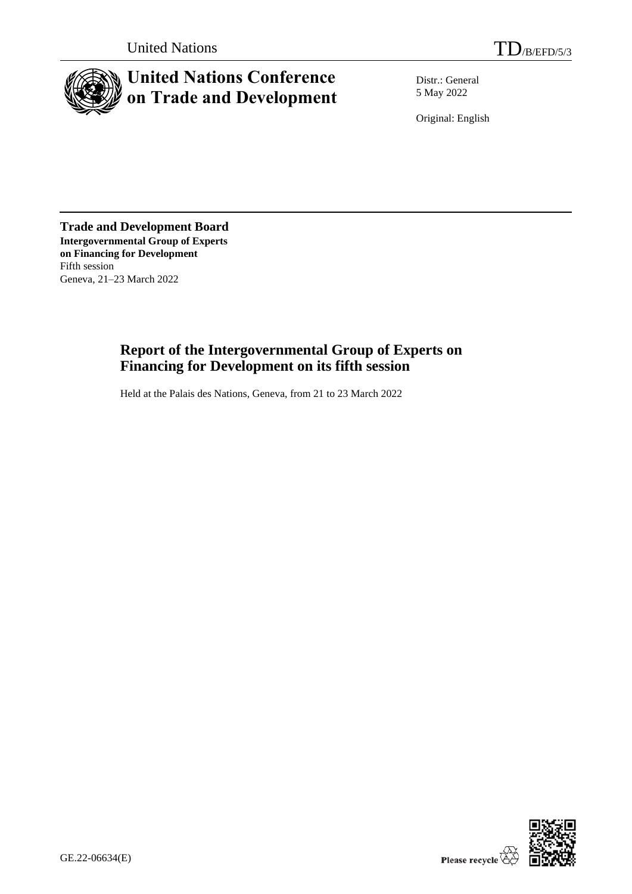

# **United Nations Conference on Trade and Development**

Distr.: General 5 May 2022

Original: English

**Trade and Development Board Intergovernmental Group of Experts on Financing for Development** Fifth session Geneva, 21–23 March 2022

# **Report of the Intergovernmental Group of Experts on Financing for Development on its fifth session**

Held at the Palais des Nations, Geneva, from 21 to 23 March 2022

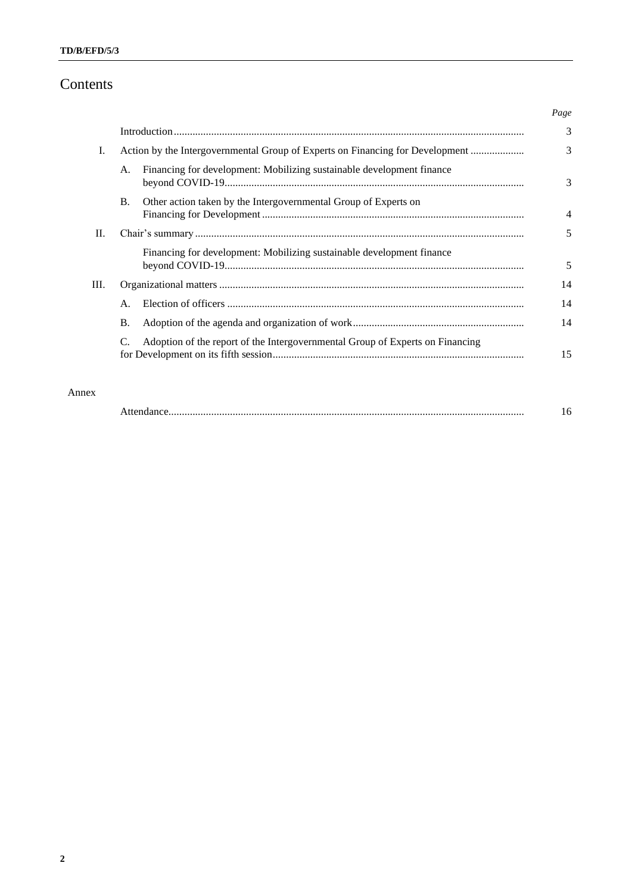# Contents

|                 |                                                                               |                                                                               | Page           |
|-----------------|-------------------------------------------------------------------------------|-------------------------------------------------------------------------------|----------------|
|                 |                                                                               |                                                                               | 3              |
| I.              | Action by the Intergovernmental Group of Experts on Financing for Development |                                                                               | 3              |
|                 | A.                                                                            | Financing for development: Mobilizing sustainable development finance         | 3              |
|                 | <b>B.</b>                                                                     | Other action taken by the Intergovernmental Group of Experts on               | $\overline{4}$ |
| $\mathbf{II}$ . |                                                                               |                                                                               | 5              |
|                 |                                                                               | Financing for development: Mobilizing sustainable development finance         | 5              |
| III.            |                                                                               |                                                                               | 14             |
|                 | $\mathsf{A}$ .                                                                |                                                                               | 14             |
|                 | <b>B.</b>                                                                     |                                                                               | 14             |
|                 |                                                                               | Adoption of the report of the Intergovernmental Group of Experts on Financing | 15             |

### Annex

|--|--|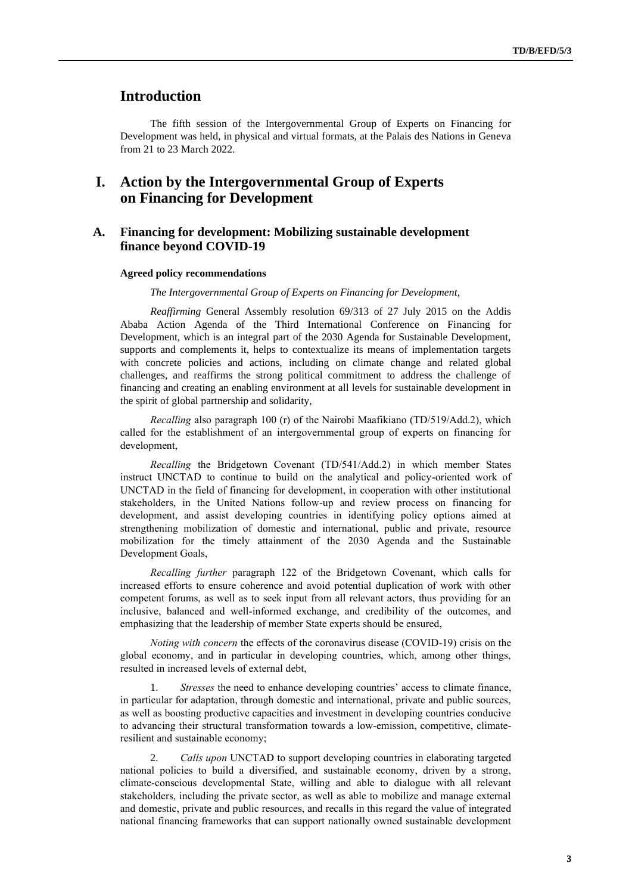## **Introduction**

The fifth session of the Intergovernmental Group of Experts on Financing for Development was held, in physical and virtual formats, at the Palais des Nations in Geneva from 21 to 23 March 2022.

# **I. Action by the Intergovernmental Group of Experts on Financing for Development**

### **A. Financing for development: Mobilizing sustainable development finance beyond COVID-19**

#### **Agreed policy recommendations**

*The Intergovernmental Group of Experts on Financing for Development,*

*Reaffirming* General Assembly resolution 69/313 of 27 July 2015 on the Addis Ababa Action Agenda of the Third International Conference on Financing for Development, which is an integral part of the 2030 Agenda for Sustainable Development, supports and complements it, helps to contextualize its means of implementation targets with concrete policies and actions, including on climate change and related global challenges, and reaffirms the strong political commitment to address the challenge of financing and creating an enabling environment at all levels for sustainable development in the spirit of global partnership and solidarity,

*Recalling* also paragraph 100 (r) of the Nairobi Maafikiano (TD/519/Add.2), which called for the establishment of an intergovernmental group of experts on financing for development,

*Recalling* the Bridgetown Covenant (TD/541/Add.2) in which member States instruct UNCTAD to continue to build on the analytical and policy-oriented work of UNCTAD in the field of financing for development, in cooperation with other institutional stakeholders, in the United Nations follow-up and review process on financing for development, and assist developing countries in identifying policy options aimed at strengthening mobilization of domestic and international, public and private, resource mobilization for the timely attainment of the 2030 Agenda and the Sustainable Development Goals,

*Recalling further* paragraph 122 of the Bridgetown Covenant, which calls for increased efforts to ensure coherence and avoid potential duplication of work with other competent forums, as well as to seek input from all relevant actors, thus providing for an inclusive, balanced and well-informed exchange, and credibility of the outcomes, and emphasizing that the leadership of member State experts should be ensured,

*Noting with concern* the effects of the coronavirus disease (COVID-19) crisis on the global economy, and in particular in developing countries, which, among other things, resulted in increased levels of external debt,

*Stresses* the need to enhance developing countries' access to climate finance, in particular for adaptation, through domestic and international, private and public sources, as well as boosting productive capacities and investment in developing countries conducive to advancing their structural transformation towards a low-emission, competitive, climateresilient and sustainable economy;

2. *Calls upon* UNCTAD to support developing countries in elaborating targeted national policies to build a diversified, and sustainable economy, driven by a strong, climate-conscious developmental State, willing and able to dialogue with all relevant stakeholders, including the private sector, as well as able to mobilize and manage external and domestic, private and public resources, and recalls in this regard the value of integrated national financing frameworks that can support nationally owned sustainable development

**3**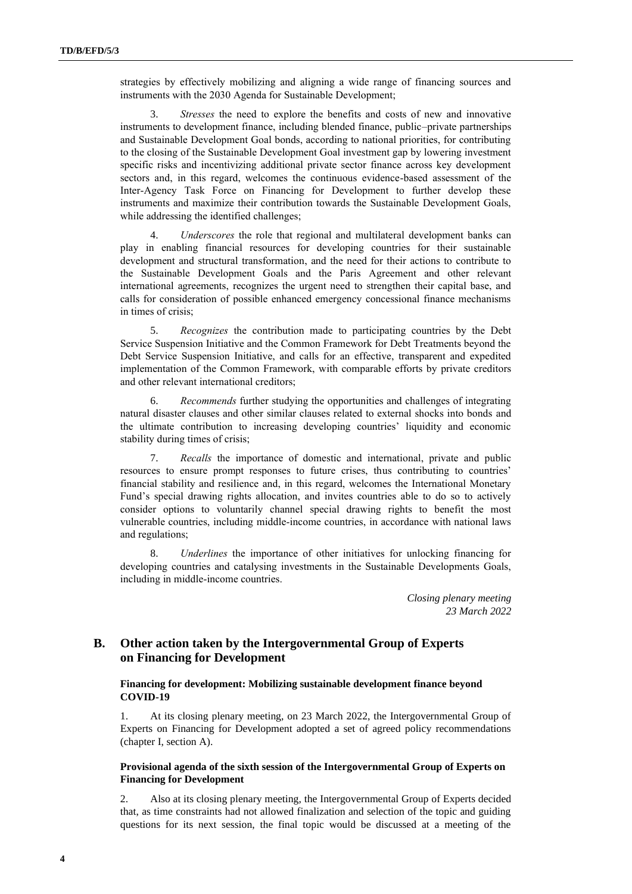strategies by effectively mobilizing and aligning a wide range of financing sources and instruments with the 2030 Agenda for Sustainable Development;

3. *Stresses* the need to explore the benefits and costs of new and innovative instruments to development finance, including blended finance, public–private partnerships and Sustainable Development Goal bonds, according to national priorities, for contributing to the closing of the Sustainable Development Goal investment gap by lowering investment specific risks and incentivizing additional private sector finance across key development sectors and, in this regard, welcomes the continuous evidence-based assessment of the Inter-Agency Task Force on Financing for Development to further develop these instruments and maximize their contribution towards the Sustainable Development Goals, while addressing the identified challenges;

4. *Underscores* the role that regional and multilateral development banks can play in enabling financial resources for developing countries for their sustainable development and structural transformation, and the need for their actions to contribute to the Sustainable Development Goals and the Paris Agreement and other relevant international agreements, recognizes the urgent need to strengthen their capital base, and calls for consideration of possible enhanced emergency concessional finance mechanisms in times of crisis;

5. *Recognizes* the contribution made to participating countries by the Debt Service Suspension Initiative and the Common Framework for Debt Treatments beyond the Debt Service Suspension Initiative, and calls for an effective, transparent and expedited implementation of the Common Framework, with comparable efforts by private creditors and other relevant international creditors;

6. *Recommends* further studying the opportunities and challenges of integrating natural disaster clauses and other similar clauses related to external shocks into bonds and the ultimate contribution to increasing developing countries' liquidity and economic stability during times of crisis;

7. *Recalls* the importance of domestic and international, private and public resources to ensure prompt responses to future crises, thus contributing to countries' financial stability and resilience and, in this regard, welcomes the International Monetary Fund's special drawing rights allocation, and invites countries able to do so to actively consider options to voluntarily channel special drawing rights to benefit the most vulnerable countries, including middle-income countries, in accordance with national laws and regulations;

8. *Underlines* the importance of other initiatives for unlocking financing for developing countries and catalysing investments in the Sustainable Developments Goals, including in middle-income countries.

> *Closing plenary meeting 23 March 2022*

### **B. Other action taken by the Intergovernmental Group of Experts on Financing for Development**

#### **Financing for development: Mobilizing sustainable development finance beyond COVID-19**

1. At its closing plenary meeting, on 23 March 2022, the Intergovernmental Group of Experts on Financing for Development adopted a set of agreed policy recommendations (chapter I, section A).

#### **Provisional agenda of the sixth session of the Intergovernmental Group of Experts on Financing for Development**

2. Also at its closing plenary meeting, the Intergovernmental Group of Experts decided that, as time constraints had not allowed finalization and selection of the topic and guiding questions for its next session, the final topic would be discussed at a meeting of the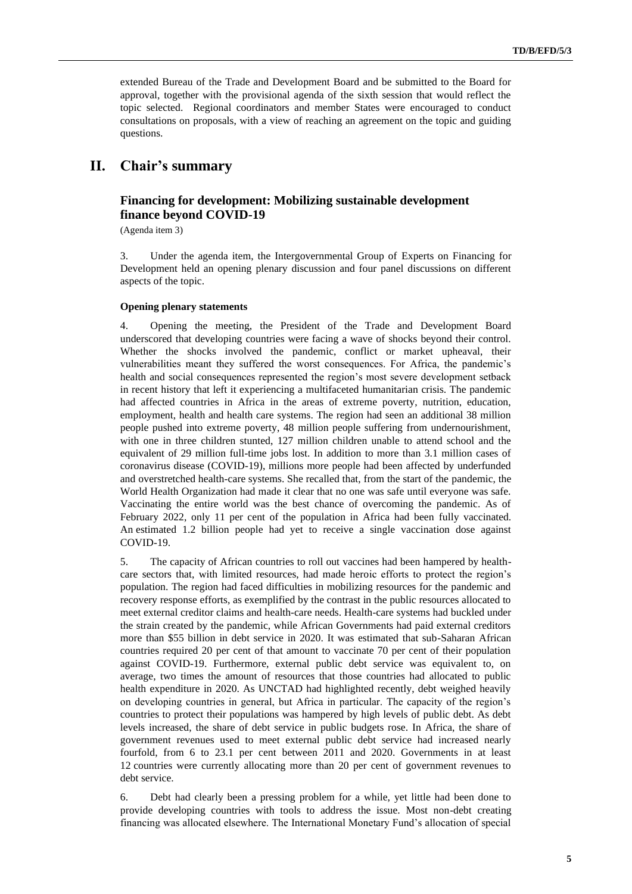extended Bureau of the Trade and Development Board and be submitted to the Board for approval, together with the provisional agenda of the sixth session that would reflect the topic selected. Regional coordinators and member States were encouraged to conduct consultations on proposals, with a view of reaching an agreement on the topic and guiding questions.

# **II. Chair's summary**

### **Financing for development: Mobilizing sustainable development finance beyond COVID-19**

(Agenda item 3)

3. Under the agenda item, the Intergovernmental Group of Experts on Financing for Development held an opening plenary discussion and four panel discussions on different aspects of the topic.

#### **Opening plenary statements**

4. Opening the meeting, the President of the Trade and Development Board underscored that developing countries were facing a wave of shocks beyond their control. Whether the shocks involved the pandemic, conflict or market upheaval, their vulnerabilities meant they suffered the worst consequences. For Africa, the pandemic's health and social consequences represented the region's most severe development setback in recent history that left it experiencing a multifaceted humanitarian crisis. The pandemic had affected countries in Africa in the areas of extreme poverty, nutrition, education, employment, health and health care systems. The region had seen an additional 38 million people pushed into extreme poverty, 48 million people suffering from undernourishment, with one in three children stunted, 127 million children unable to attend school and the equivalent of 29 million full-time jobs lost. In addition to more than 3.1 million cases of coronavirus disease (COVID-19), millions more people had been affected by underfunded and overstretched health-care systems. She recalled that, from the start of the pandemic, the World Health Organization had made it clear that no one was safe until everyone was safe. Vaccinating the entire world was the best chance of overcoming the pandemic. As of February 2022, only 11 per cent of the population in Africa had been fully vaccinated. An estimated 1.2 billion people had yet to receive a single vaccination dose against COVID-19.

5. The capacity of African countries to roll out vaccines had been hampered by healthcare sectors that, with limited resources, had made heroic efforts to protect the region's population. The region had faced difficulties in mobilizing resources for the pandemic and recovery response efforts, as exemplified by the contrast in the public resources allocated to meet external creditor claims and health-care needs. Health-care systems had buckled under the strain created by the pandemic, while African Governments had paid external creditors more than \$55 billion in debt service in 2020. It was estimated that sub-Saharan African countries required 20 per cent of that amount to vaccinate 70 per cent of their population against COVID-19. Furthermore, external public debt service was equivalent to, on average, two times the amount of resources that those countries had allocated to public health expenditure in 2020. As UNCTAD had highlighted recently, debt weighed heavily on developing countries in general, but Africa in particular. The capacity of the region's countries to protect their populations was hampered by high levels of public debt. As debt levels increased, the share of debt service in public budgets rose. In Africa, the share of government revenues used to meet external public debt service had increased nearly fourfold, from 6 to 23.1 per cent between 2011 and 2020. Governments in at least 12 countries were currently allocating more than 20 per cent of government revenues to debt service.

6. Debt had clearly been a pressing problem for a while, yet little had been done to provide developing countries with tools to address the issue. Most non-debt creating financing was allocated elsewhere. The International Monetary Fund's allocation of special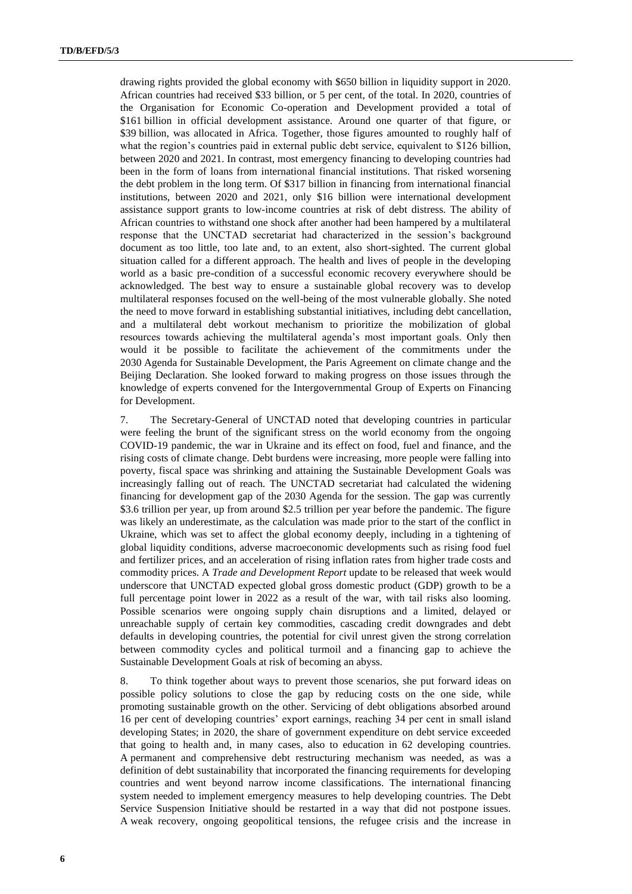drawing rights provided the global economy with \$650 billion in liquidity support in 2020. African countries had received \$33 billion, or 5 per cent, of the total. In 2020, countries of the Organisation for Economic Co-operation and Development provided a total of \$161 billion in official development assistance. Around one quarter of that figure, or \$39 billion, was allocated in Africa. Together, those figures amounted to roughly half of what the region's countries paid in external public debt service, equivalent to \$126 billion, between 2020 and 2021. In contrast, most emergency financing to developing countries had been in the form of loans from international financial institutions. That risked worsening the debt problem in the long term. Of \$317 billion in financing from international financial institutions, between 2020 and 2021, only \$16 billion were international development assistance support grants to low-income countries at risk of debt distress. The ability of African countries to withstand one shock after another had been hampered by a multilateral response that the UNCTAD secretariat had characterized in the session's background document as too little, too late and, to an extent, also short-sighted. The current global situation called for a different approach. The health and lives of people in the developing world as a basic pre-condition of a successful economic recovery everywhere should be acknowledged. The best way to ensure a sustainable global recovery was to develop multilateral responses focused on the well-being of the most vulnerable globally. She noted the need to move forward in establishing substantial initiatives, including debt cancellation, and a multilateral debt workout mechanism to prioritize the mobilization of global resources towards achieving the multilateral agenda's most important goals. Only then would it be possible to facilitate the achievement of the commitments under the 2030 Agenda for Sustainable Development, the Paris Agreement on climate change and the Beijing Declaration. She looked forward to making progress on those issues through the knowledge of experts convened for the Intergovernmental Group of Experts on Financing for Development.

7. The Secretary-General of UNCTAD noted that developing countries in particular were feeling the brunt of the significant stress on the world economy from the ongoing COVID-19 pandemic, the war in Ukraine and its effect on food, fuel and finance, and the rising costs of climate change. Debt burdens were increasing, more people were falling into poverty, fiscal space was shrinking and attaining the Sustainable Development Goals was increasingly falling out of reach. The UNCTAD secretariat had calculated the widening financing for development gap of the 2030 Agenda for the session. The gap was currently \$3.6 trillion per year, up from around \$2.5 trillion per year before the pandemic. The figure was likely an underestimate, as the calculation was made prior to the start of the conflict in Ukraine, which was set to affect the global economy deeply, including in a tightening of global liquidity conditions, adverse macroeconomic developments such as rising food fuel and fertilizer prices, and an acceleration of rising inflation rates from higher trade costs and commodity prices. A *Trade and Development Report* update to be released that week would underscore that UNCTAD expected global gross domestic product (GDP) growth to be a full percentage point lower in 2022 as a result of the war, with tail risks also looming. Possible scenarios were ongoing supply chain disruptions and a limited, delayed or unreachable supply of certain key commodities, cascading credit downgrades and debt defaults in developing countries, the potential for civil unrest given the strong correlation between commodity cycles and political turmoil and a financing gap to achieve the Sustainable Development Goals at risk of becoming an abyss.

8. To think together about ways to prevent those scenarios, she put forward ideas on possible policy solutions to close the gap by reducing costs on the one side, while promoting sustainable growth on the other. Servicing of debt obligations absorbed around 16 per cent of developing countries' export earnings, reaching 34 per cent in small island developing States; in 2020, the share of government expenditure on debt service exceeded that going to health and, in many cases, also to education in 62 developing countries. A permanent and comprehensive debt restructuring mechanism was needed, as was a definition of debt sustainability that incorporated the financing requirements for developing countries and went beyond narrow income classifications. The international financing system needed to implement emergency measures to help developing countries. The Debt Service Suspension Initiative should be restarted in a way that did not postpone issues. A weak recovery, ongoing geopolitical tensions, the refugee crisis and the increase in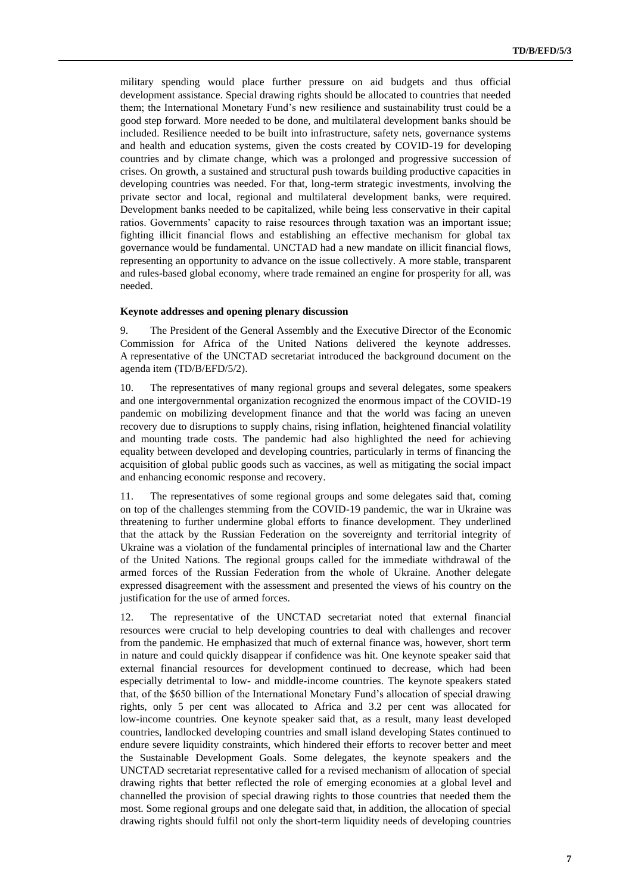military spending would place further pressure on aid budgets and thus official development assistance. Special drawing rights should be allocated to countries that needed them; the International Monetary Fund's new resilience and sustainability trust could be a good step forward. More needed to be done, and multilateral development banks should be included. Resilience needed to be built into infrastructure, safety nets, governance systems and health and education systems, given the costs created by COVID-19 for developing countries and by climate change, which was a prolonged and progressive succession of crises. On growth, a sustained and structural push towards building productive capacities in developing countries was needed. For that, long-term strategic investments, involving the private sector and local, regional and multilateral development banks, were required. Development banks needed to be capitalized, while being less conservative in their capital ratios. Governments' capacity to raise resources through taxation was an important issue; fighting illicit financial flows and establishing an effective mechanism for global tax governance would be fundamental. UNCTAD had a new mandate on illicit financial flows, representing an opportunity to advance on the issue collectively. A more stable, transparent and rules-based global economy, where trade remained an engine for prosperity for all, was needed.

#### **Keynote addresses and opening plenary discussion**

9. The President of the General Assembly and the Executive Director of the Economic Commission for Africa of the United Nations delivered the keynote addresses. A representative of the UNCTAD secretariat introduced the background document on the agenda item (TD/B/EFD/5/2).

10. The representatives of many regional groups and several delegates, some speakers and one intergovernmental organization recognized the enormous impact of the COVID-19 pandemic on mobilizing development finance and that the world was facing an uneven recovery due to disruptions to supply chains, rising inflation, heightened financial volatility and mounting trade costs. The pandemic had also highlighted the need for achieving equality between developed and developing countries, particularly in terms of financing the acquisition of global public goods such as vaccines, as well as mitigating the social impact and enhancing economic response and recovery.

11. The representatives of some regional groups and some delegates said that, coming on top of the challenges stemming from the COVID-19 pandemic, the war in Ukraine was threatening to further undermine global efforts to finance development. They underlined that the attack by the Russian Federation on the sovereignty and territorial integrity of Ukraine was a violation of the fundamental principles of international law and the Charter of the United Nations. The regional groups called for the immediate withdrawal of the armed forces of the Russian Federation from the whole of Ukraine. Another delegate expressed disagreement with the assessment and presented the views of his country on the justification for the use of armed forces.

12. The representative of the UNCTAD secretariat noted that external financial resources were crucial to help developing countries to deal with challenges and recover from the pandemic. He emphasized that much of external finance was, however, short term in nature and could quickly disappear if confidence was hit. One keynote speaker said that external financial resources for development continued to decrease, which had been especially detrimental to low- and middle-income countries. The keynote speakers stated that, of the \$650 billion of the International Monetary Fund's allocation of special drawing rights, only 5 per cent was allocated to Africa and 3.2 per cent was allocated for low-income countries. One keynote speaker said that, as a result, many least developed countries, landlocked developing countries and small island developing States continued to endure severe liquidity constraints, which hindered their efforts to recover better and meet the Sustainable Development Goals. Some delegates, the keynote speakers and the UNCTAD secretariat representative called for a revised mechanism of allocation of special drawing rights that better reflected the role of emerging economies at a global level and channelled the provision of special drawing rights to those countries that needed them the most. Some regional groups and one delegate said that, in addition, the allocation of special drawing rights should fulfil not only the short-term liquidity needs of developing countries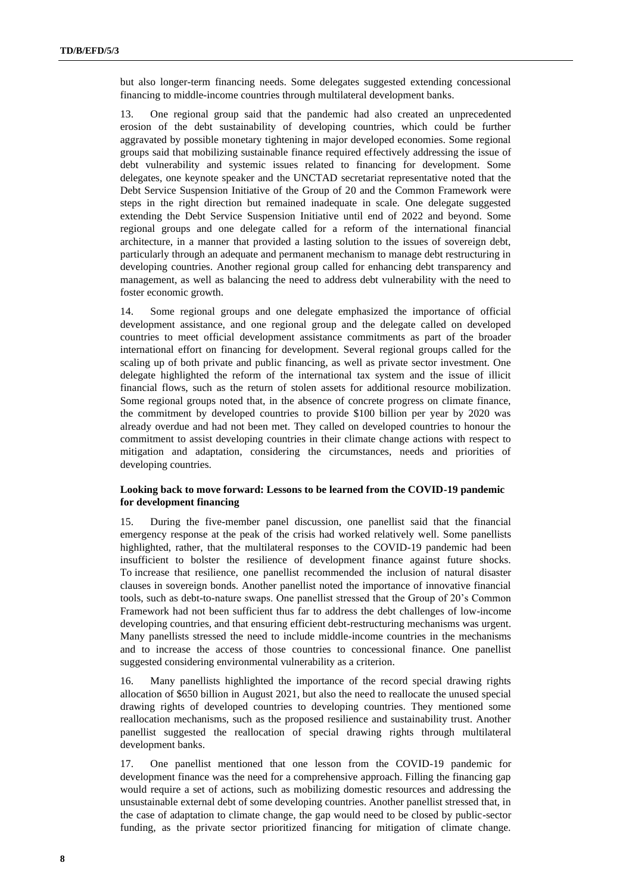but also longer-term financing needs. Some delegates suggested extending concessional financing to middle-income countries through multilateral development banks.

13. One regional group said that the pandemic had also created an unprecedented erosion of the debt sustainability of developing countries, which could be further aggravated by possible monetary tightening in major developed economies. Some regional groups said that mobilizing sustainable finance required effectively addressing the issue of debt vulnerability and systemic issues related to financing for development. Some delegates, one keynote speaker and the UNCTAD secretariat representative noted that the Debt Service Suspension Initiative of the Group of 20 and the Common Framework were steps in the right direction but remained inadequate in scale. One delegate suggested extending the Debt Service Suspension Initiative until end of 2022 and beyond. Some regional groups and one delegate called for a reform of the international financial architecture, in a manner that provided a lasting solution to the issues of sovereign debt, particularly through an adequate and permanent mechanism to manage debt restructuring in developing countries. Another regional group called for enhancing debt transparency and management, as well as balancing the need to address debt vulnerability with the need to foster economic growth.

14. Some regional groups and one delegate emphasized the importance of official development assistance, and one regional group and the delegate called on developed countries to meet official development assistance commitments as part of the broader international effort on financing for development. Several regional groups called for the scaling up of both private and public financing, as well as private sector investment. One delegate highlighted the reform of the international tax system and the issue of illicit financial flows, such as the return of stolen assets for additional resource mobilization. Some regional groups noted that, in the absence of concrete progress on climate finance, the commitment by developed countries to provide \$100 billion per year by 2020 was already overdue and had not been met. They called on developed countries to honour the commitment to assist developing countries in their climate change actions with respect to mitigation and adaptation, considering the circumstances, needs and priorities of developing countries.

#### **Looking back to move forward: Lessons to be learned from the COVID-19 pandemic for development financing**

15. During the five-member panel discussion, one panellist said that the financial emergency response at the peak of the crisis had worked relatively well. Some panellists highlighted, rather, that the multilateral responses to the COVID-19 pandemic had been insufficient to bolster the resilience of development finance against future shocks. To increase that resilience, one panellist recommended the inclusion of natural disaster clauses in sovereign bonds. Another panellist noted the importance of innovative financial tools, such as debt-to-nature swaps. One panellist stressed that the Group of 20's Common Framework had not been sufficient thus far to address the debt challenges of low-income developing countries, and that ensuring efficient debt-restructuring mechanisms was urgent. Many panellists stressed the need to include middle-income countries in the mechanisms and to increase the access of those countries to concessional finance. One panellist suggested considering environmental vulnerability as a criterion.

16. Many panellists highlighted the importance of the record special drawing rights allocation of \$650 billion in August 2021, but also the need to reallocate the unused special drawing rights of developed countries to developing countries. They mentioned some reallocation mechanisms, such as the proposed resilience and sustainability trust. Another panellist suggested the reallocation of special drawing rights through multilateral development banks.

17. One panellist mentioned that one lesson from the COVID-19 pandemic for development finance was the need for a comprehensive approach. Filling the financing gap would require a set of actions, such as mobilizing domestic resources and addressing the unsustainable external debt of some developing countries. Another panellist stressed that, in the case of adaptation to climate change, the gap would need to be closed by public-sector funding, as the private sector prioritized financing for mitigation of climate change.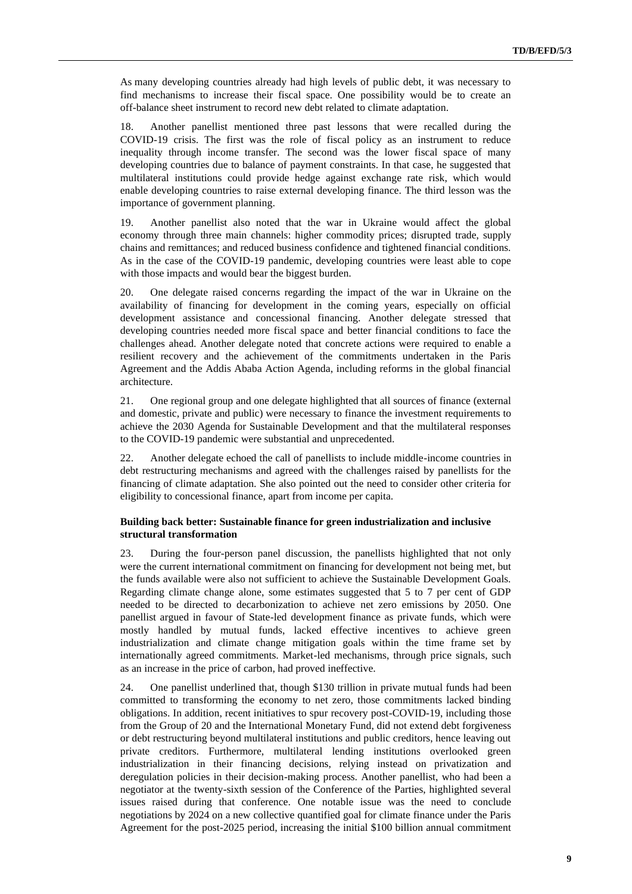As many developing countries already had high levels of public debt, it was necessary to find mechanisms to increase their fiscal space. One possibility would be to create an off-balance sheet instrument to record new debt related to climate adaptation.

18. Another panellist mentioned three past lessons that were recalled during the COVID-19 crisis. The first was the role of fiscal policy as an instrument to reduce inequality through income transfer. The second was the lower fiscal space of many developing countries due to balance of payment constraints. In that case, he suggested that multilateral institutions could provide hedge against exchange rate risk, which would enable developing countries to raise external developing finance. The third lesson was the importance of government planning.

19. Another panellist also noted that the war in Ukraine would affect the global economy through three main channels: higher commodity prices; disrupted trade, supply chains and remittances; and reduced business confidence and tightened financial conditions. As in the case of the COVID-19 pandemic, developing countries were least able to cope with those impacts and would bear the biggest burden.

20. One delegate raised concerns regarding the impact of the war in Ukraine on the availability of financing for development in the coming years, especially on official development assistance and concessional financing. Another delegate stressed that developing countries needed more fiscal space and better financial conditions to face the challenges ahead. Another delegate noted that concrete actions were required to enable a resilient recovery and the achievement of the commitments undertaken in the Paris Agreement and the Addis Ababa Action Agenda, including reforms in the global financial architecture.

21. One regional group and one delegate highlighted that all sources of finance (external and domestic, private and public) were necessary to finance the investment requirements to achieve the 2030 Agenda for Sustainable Development and that the multilateral responses to the COVID-19 pandemic were substantial and unprecedented.

22. Another delegate echoed the call of panellists to include middle-income countries in debt restructuring mechanisms and agreed with the challenges raised by panellists for the financing of climate adaptation. She also pointed out the need to consider other criteria for eligibility to concessional finance, apart from income per capita.

#### **Building back better: Sustainable finance for green industrialization and inclusive structural transformation**

23. During the four-person panel discussion, the panellists highlighted that not only were the current international commitment on financing for development not being met, but the funds available were also not sufficient to achieve the Sustainable Development Goals. Regarding climate change alone, some estimates suggested that 5 to 7 per cent of GDP needed to be directed to decarbonization to achieve net zero emissions by 2050. One panellist argued in favour of State-led development finance as private funds, which were mostly handled by mutual funds, lacked effective incentives to achieve green industrialization and climate change mitigation goals within the time frame set by internationally agreed commitments. Market-led mechanisms, through price signals, such as an increase in the price of carbon, had proved ineffective.

24. One panellist underlined that, though \$130 trillion in private mutual funds had been committed to transforming the economy to net zero, those commitments lacked binding obligations. In addition, recent initiatives to spur recovery post-COVID-19, including those from the Group of 20 and the International Monetary Fund, did not extend debt forgiveness or debt restructuring beyond multilateral institutions and public creditors, hence leaving out private creditors. Furthermore, multilateral lending institutions overlooked green industrialization in their financing decisions, relying instead on privatization and deregulation policies in their decision-making process. Another panellist, who had been a negotiator at the twenty-sixth session of the Conference of the Parties, highlighted several issues raised during that conference. One notable issue was the need to conclude negotiations by 2024 on a new collective quantified goal for climate finance under the Paris Agreement for the post-2025 period, increasing the initial \$100 billion annual commitment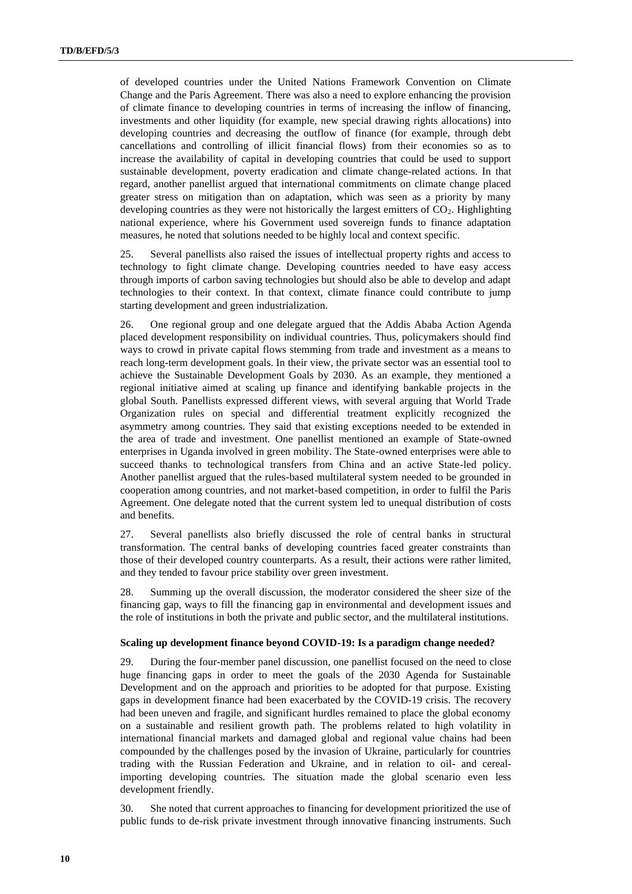of developed countries under the United Nations Framework Convention on Climate Change and the Paris Agreement. There was also a need to explore enhancing the provision of climate finance to developing countries in terms of increasing the inflow of financing, investments and other liquidity (for example, new special drawing rights allocations) into developing countries and decreasing the outflow of finance (for example, through debt cancellations and controlling of illicit financial flows) from their economies so as to increase the availability of capital in developing countries that could be used to support sustainable development, poverty eradication and climate change-related actions. In that regard, another panellist argued that international commitments on climate change placed greater stress on mitigation than on adaptation, which was seen as a priority by many developing countries as they were not historically the largest emitters of  $CO<sub>2</sub>$ . Highlighting national experience, where his Government used sovereign funds to finance adaptation measures, he noted that solutions needed to be highly local and context specific.

25. Several panellists also raised the issues of intellectual property rights and access to technology to fight climate change. Developing countries needed to have easy access through imports of carbon saving technologies but should also be able to develop and adapt technologies to their context. In that context, climate finance could contribute to jump starting development and green industrialization.

26. One regional group and one delegate argued that the Addis Ababa Action Agenda placed development responsibility on individual countries. Thus, policymakers should find ways to crowd in private capital flows stemming from trade and investment as a means to reach long-term development goals. In their view, the private sector was an essential tool to achieve the Sustainable Development Goals by 2030. As an example, they mentioned a regional initiative aimed at scaling up finance and identifying bankable projects in the global South. Panellists expressed different views, with several arguing that World Trade Organization rules on special and differential treatment explicitly recognized the asymmetry among countries. They said that existing exceptions needed to be extended in the area of trade and investment. One panellist mentioned an example of State-owned enterprises in Uganda involved in green mobility. The State-owned enterprises were able to succeed thanks to technological transfers from China and an active State-led policy. Another panellist argued that the rules-based multilateral system needed to be grounded in cooperation among countries, and not market-based competition, in order to fulfil the Paris Agreement. One delegate noted that the current system led to unequal distribution of costs and benefits.

27. Several panellists also briefly discussed the role of central banks in structural transformation. The central banks of developing countries faced greater constraints than those of their developed country counterparts. As a result, their actions were rather limited, and they tended to favour price stability over green investment.

28. Summing up the overall discussion, the moderator considered the sheer size of the financing gap, ways to fill the financing gap in environmental and development issues and the role of institutions in both the private and public sector, and the multilateral institutions.

#### **Scaling up development finance beyond COVID-19: Is a paradigm change needed?**

29. During the four-member panel discussion, one panellist focused on the need to close huge financing gaps in order to meet the goals of the 2030 Agenda for Sustainable Development and on the approach and priorities to be adopted for that purpose. Existing gaps in development finance had been exacerbated by the COVID-19 crisis. The recovery had been uneven and fragile, and significant hurdles remained to place the global economy on a sustainable and resilient growth path. The problems related to high volatility in international financial markets and damaged global and regional value chains had been compounded by the challenges posed by the invasion of Ukraine, particularly for countries trading with the Russian Federation and Ukraine, and in relation to oil- and cerealimporting developing countries. The situation made the global scenario even less development friendly.

30. She noted that current approaches to financing for development prioritized the use of public funds to de-risk private investment through innovative financing instruments. Such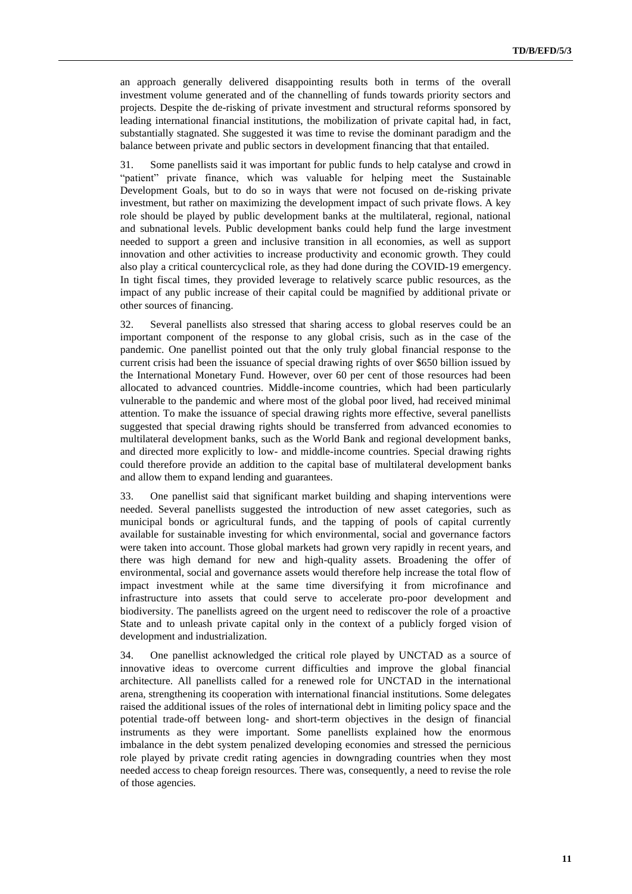an approach generally delivered disappointing results both in terms of the overall investment volume generated and of the channelling of funds towards priority sectors and projects. Despite the de-risking of private investment and structural reforms sponsored by leading international financial institutions, the mobilization of private capital had, in fact, substantially stagnated. She suggested it was time to revise the dominant paradigm and the balance between private and public sectors in development financing that that entailed.

31. Some panellists said it was important for public funds to help catalyse and crowd in "patient" private finance, which was valuable for helping meet the Sustainable Development Goals, but to do so in ways that were not focused on de-risking private investment, but rather on maximizing the development impact of such private flows. A key role should be played by public development banks at the multilateral, regional, national and subnational levels. Public development banks could help fund the large investment needed to support a green and inclusive transition in all economies, as well as support innovation and other activities to increase productivity and economic growth. They could also play a critical countercyclical role, as they had done during the COVID-19 emergency. In tight fiscal times, they provided leverage to relatively scarce public resources, as the impact of any public increase of their capital could be magnified by additional private or other sources of financing.

32. Several panellists also stressed that sharing access to global reserves could be an important component of the response to any global crisis, such as in the case of the pandemic. One panellist pointed out that the only truly global financial response to the current crisis had been the issuance of special drawing rights of over \$650 billion issued by the International Monetary Fund. However, over 60 per cent of those resources had been allocated to advanced countries. Middle-income countries, which had been particularly vulnerable to the pandemic and where most of the global poor lived, had received minimal attention. To make the issuance of special drawing rights more effective, several panellists suggested that special drawing rights should be transferred from advanced economies to multilateral development banks, such as the World Bank and regional development banks, and directed more explicitly to low- and middle-income countries. Special drawing rights could therefore provide an addition to the capital base of multilateral development banks and allow them to expand lending and guarantees.

33. One panellist said that significant market building and shaping interventions were needed. Several panellists suggested the introduction of new asset categories, such as municipal bonds or agricultural funds, and the tapping of pools of capital currently available for sustainable investing for which environmental, social and governance factors were taken into account. Those global markets had grown very rapidly in recent years, and there was high demand for new and high-quality assets. Broadening the offer of environmental, social and governance assets would therefore help increase the total flow of impact investment while at the same time diversifying it from microfinance and infrastructure into assets that could serve to accelerate pro-poor development and biodiversity. The panellists agreed on the urgent need to rediscover the role of a proactive State and to unleash private capital only in the context of a publicly forged vision of development and industrialization.

34. One panellist acknowledged the critical role played by UNCTAD as a source of innovative ideas to overcome current difficulties and improve the global financial architecture. All panellists called for a renewed role for UNCTAD in the international arena, strengthening its cooperation with international financial institutions. Some delegates raised the additional issues of the roles of international debt in limiting policy space and the potential trade-off between long- and short-term objectives in the design of financial instruments as they were important. Some panellists explained how the enormous imbalance in the debt system penalized developing economies and stressed the pernicious role played by private credit rating agencies in downgrading countries when they most needed access to cheap foreign resources. There was, consequently, a need to revise the role of those agencies.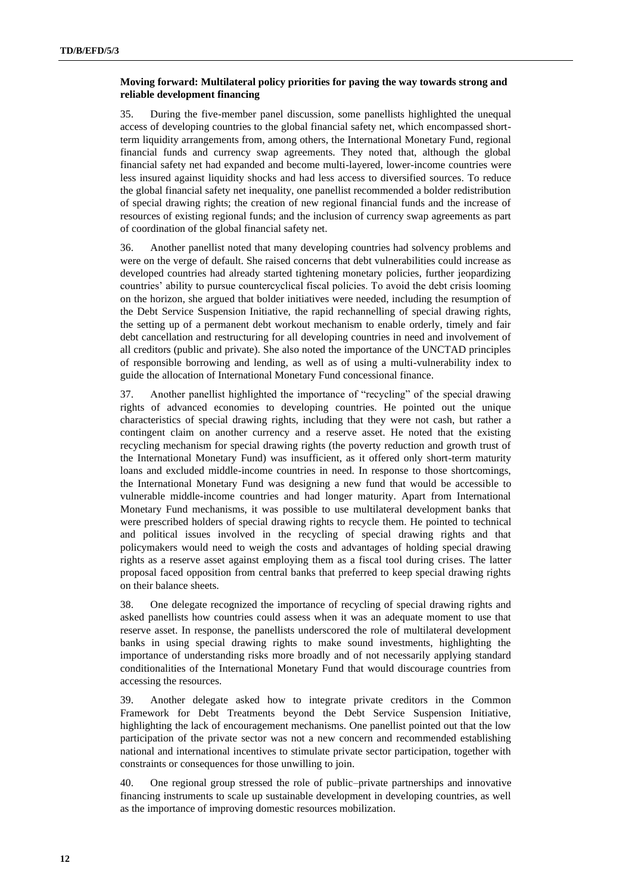#### **Moving forward: Multilateral policy priorities for paving the way towards strong and reliable development financing**

35. During the five-member panel discussion, some panellists highlighted the unequal access of developing countries to the global financial safety net, which encompassed shortterm liquidity arrangements from, among others, the International Monetary Fund, regional financial funds and currency swap agreements. They noted that, although the global financial safety net had expanded and become multi-layered, lower-income countries were less insured against liquidity shocks and had less access to diversified sources. To reduce the global financial safety net inequality, one panellist recommended a bolder redistribution of special drawing rights; the creation of new regional financial funds and the increase of resources of existing regional funds; and the inclusion of currency swap agreements as part of coordination of the global financial safety net.

36. Another panellist noted that many developing countries had solvency problems and were on the verge of default. She raised concerns that debt vulnerabilities could increase as developed countries had already started tightening monetary policies, further jeopardizing countries' ability to pursue countercyclical fiscal policies. To avoid the debt crisis looming on the horizon, she argued that bolder initiatives were needed, including the resumption of the Debt Service Suspension Initiative, the rapid rechannelling of special drawing rights, the setting up of a permanent debt workout mechanism to enable orderly, timely and fair debt cancellation and restructuring for all developing countries in need and involvement of all creditors (public and private). She also noted the importance of the UNCTAD principles of responsible borrowing and lending, as well as of using a multi-vulnerability index to guide the allocation of International Monetary Fund concessional finance.

37. Another panellist highlighted the importance of "recycling" of the special drawing rights of advanced economies to developing countries. He pointed out the unique characteristics of special drawing rights, including that they were not cash, but rather a contingent claim on another currency and a reserve asset. He noted that the existing recycling mechanism for special drawing rights (the poverty reduction and growth trust of the International Monetary Fund) was insufficient, as it offered only short-term maturity loans and excluded middle-income countries in need. In response to those shortcomings, the International Monetary Fund was designing a new fund that would be accessible to vulnerable middle-income countries and had longer maturity. Apart from International Monetary Fund mechanisms, it was possible to use multilateral development banks that were prescribed holders of special drawing rights to recycle them. He pointed to technical and political issues involved in the recycling of special drawing rights and that policymakers would need to weigh the costs and advantages of holding special drawing rights as a reserve asset against employing them as a fiscal tool during crises. The latter proposal faced opposition from central banks that preferred to keep special drawing rights on their balance sheets.

38. One delegate recognized the importance of recycling of special drawing rights and asked panellists how countries could assess when it was an adequate moment to use that reserve asset. In response, the panellists underscored the role of multilateral development banks in using special drawing rights to make sound investments, highlighting the importance of understanding risks more broadly and of not necessarily applying standard conditionalities of the International Monetary Fund that would discourage countries from accessing the resources.

39. Another delegate asked how to integrate private creditors in the Common Framework for Debt Treatments beyond the Debt Service Suspension Initiative, highlighting the lack of encouragement mechanisms. One panellist pointed out that the low participation of the private sector was not a new concern and recommended establishing national and international incentives to stimulate private sector participation, together with constraints or consequences for those unwilling to join.

40. One regional group stressed the role of public–private partnerships and innovative financing instruments to scale up sustainable development in developing countries, as well as the importance of improving domestic resources mobilization.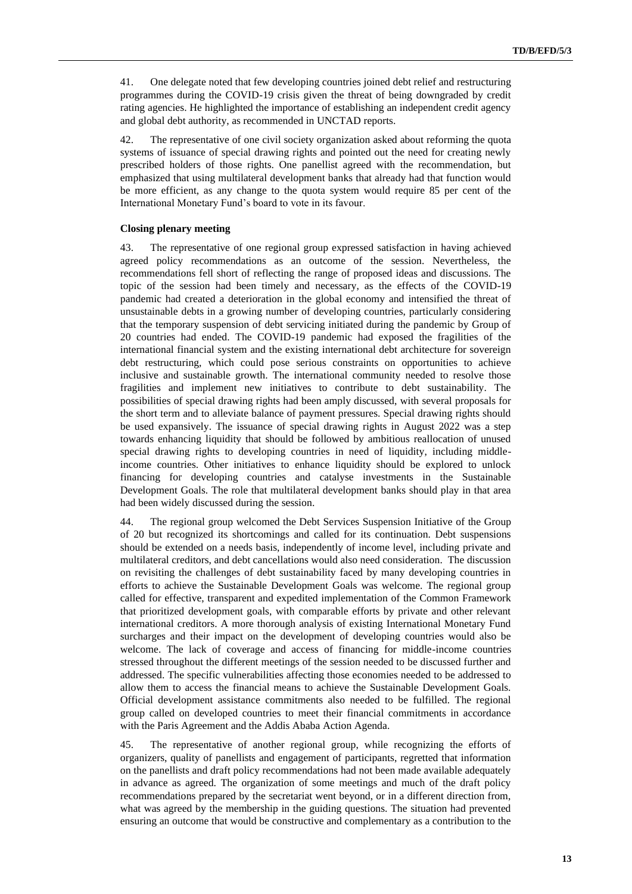41. One delegate noted that few developing countries joined debt relief and restructuring programmes during the COVID-19 crisis given the threat of being downgraded by credit rating agencies. He highlighted the importance of establishing an independent credit agency and global debt authority, as recommended in UNCTAD reports.

42. The representative of one civil society organization asked about reforming the quota systems of issuance of special drawing rights and pointed out the need for creating newly prescribed holders of those rights. One panellist agreed with the recommendation, but emphasized that using multilateral development banks that already had that function would be more efficient, as any change to the quota system would require 85 per cent of the International Monetary Fund's board to vote in its favour.

#### **Closing plenary meeting**

43. The representative of one regional group expressed satisfaction in having achieved agreed policy recommendations as an outcome of the session. Nevertheless, the recommendations fell short of reflecting the range of proposed ideas and discussions. The topic of the session had been timely and necessary, as the effects of the COVID-19 pandemic had created a deterioration in the global economy and intensified the threat of unsustainable debts in a growing number of developing countries, particularly considering that the temporary suspension of debt servicing initiated during the pandemic by Group of 20 countries had ended. The COVID-19 pandemic had exposed the fragilities of the international financial system and the existing international debt architecture for sovereign debt restructuring, which could pose serious constraints on opportunities to achieve inclusive and sustainable growth. The international community needed to resolve those fragilities and implement new initiatives to contribute to debt sustainability. The possibilities of special drawing rights had been amply discussed, with several proposals for the short term and to alleviate balance of payment pressures. Special drawing rights should be used expansively. The issuance of special drawing rights in August 2022 was a step towards enhancing liquidity that should be followed by ambitious reallocation of unused special drawing rights to developing countries in need of liquidity, including middleincome countries. Other initiatives to enhance liquidity should be explored to unlock financing for developing countries and catalyse investments in the Sustainable Development Goals. The role that multilateral development banks should play in that area had been widely discussed during the session.

44. The regional group welcomed the Debt Services Suspension Initiative of the Group of 20 but recognized its shortcomings and called for its continuation. Debt suspensions should be extended on a needs basis, independently of income level, including private and multilateral creditors, and debt cancellations would also need consideration. The discussion on revisiting the challenges of debt sustainability faced by many developing countries in efforts to achieve the Sustainable Development Goals was welcome. The regional group called for effective, transparent and expedited implementation of the Common Framework that prioritized development goals, with comparable efforts by private and other relevant international creditors. A more thorough analysis of existing International Monetary Fund surcharges and their impact on the development of developing countries would also be welcome. The lack of coverage and access of financing for middle-income countries stressed throughout the different meetings of the session needed to be discussed further and addressed. The specific vulnerabilities affecting those economies needed to be addressed to allow them to access the financial means to achieve the Sustainable Development Goals. Official development assistance commitments also needed to be fulfilled. The regional group called on developed countries to meet their financial commitments in accordance with the Paris Agreement and the Addis Ababa Action Agenda.

45. The representative of another regional group, while recognizing the efforts of organizers, quality of panellists and engagement of participants, regretted that information on the panellists and draft policy recommendations had not been made available adequately in advance as agreed. The organization of some meetings and much of the draft policy recommendations prepared by the secretariat went beyond, or in a different direction from, what was agreed by the membership in the guiding questions. The situation had prevented ensuring an outcome that would be constructive and complementary as a contribution to the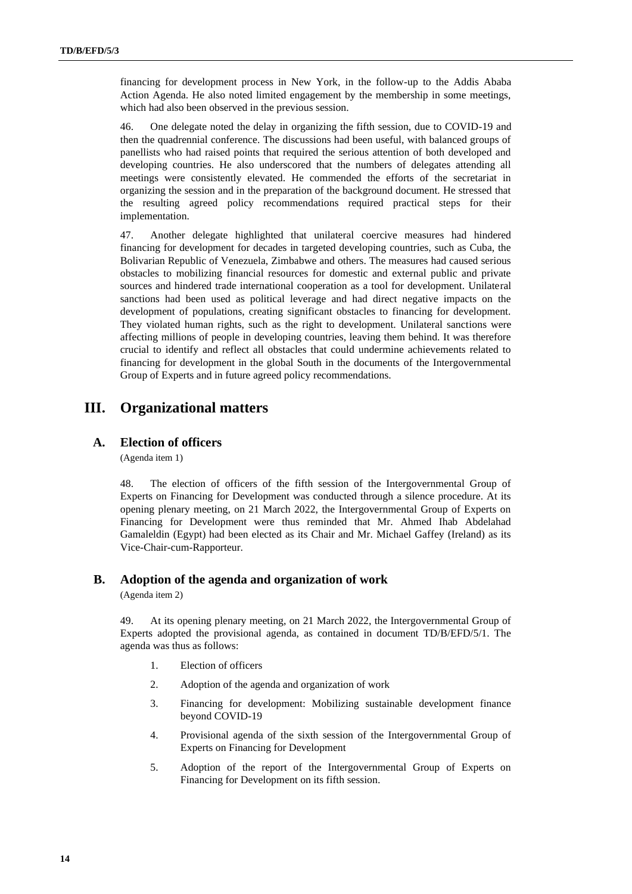financing for development process in New York, in the follow-up to the Addis Ababa Action Agenda. He also noted limited engagement by the membership in some meetings, which had also been observed in the previous session.

46. One delegate noted the delay in organizing the fifth session, due to COVID-19 and then the quadrennial conference. The discussions had been useful, with balanced groups of panellists who had raised points that required the serious attention of both developed and developing countries. He also underscored that the numbers of delegates attending all meetings were consistently elevated. He commended the efforts of the secretariat in organizing the session and in the preparation of the background document. He stressed that the resulting agreed policy recommendations required practical steps for their implementation.

47. Another delegate highlighted that unilateral coercive measures had hindered financing for development for decades in targeted developing countries, such as Cuba, the Bolivarian Republic of Venezuela, Zimbabwe and others. The measures had caused serious obstacles to mobilizing financial resources for domestic and external public and private sources and hindered trade international cooperation as a tool for development. Unilateral sanctions had been used as political leverage and had direct negative impacts on the development of populations, creating significant obstacles to financing for development. They violated human rights, such as the right to development. Unilateral sanctions were affecting millions of people in developing countries, leaving them behind. It was therefore crucial to identify and reflect all obstacles that could undermine achievements related to financing for development in the global South in the documents of the Intergovernmental Group of Experts and in future agreed policy recommendations.

# **III. Organizational matters**

### **A. Election of officers**

(Agenda item 1)

48. The election of officers of the fifth session of the Intergovernmental Group of Experts on Financing for Development was conducted through a silence procedure. At its opening plenary meeting, on 21 March 2022, the Intergovernmental Group of Experts on Financing for Development were thus reminded that Mr. Ahmed Ihab Abdelahad Gamaleldin (Egypt) had been elected as its Chair and Mr. Michael Gaffey (Ireland) as its Vice-Chair-cum-Rapporteur.

### **B. Adoption of the agenda and organization of work**

(Agenda item 2)

49. At its opening plenary meeting, on 21 March 2022, the Intergovernmental Group of Experts adopted the provisional agenda, as contained in document TD/B/EFD/5/1. The agenda was thus as follows:

- 1. Election of officers
- 2. Adoption of the agenda and organization of work
- 3. Financing for development: Mobilizing sustainable development finance beyond COVID-19
- 4. Provisional agenda of the sixth session of the Intergovernmental Group of Experts on Financing for Development
- 5. Adoption of the report of the Intergovernmental Group of Experts on Financing for Development on its fifth session.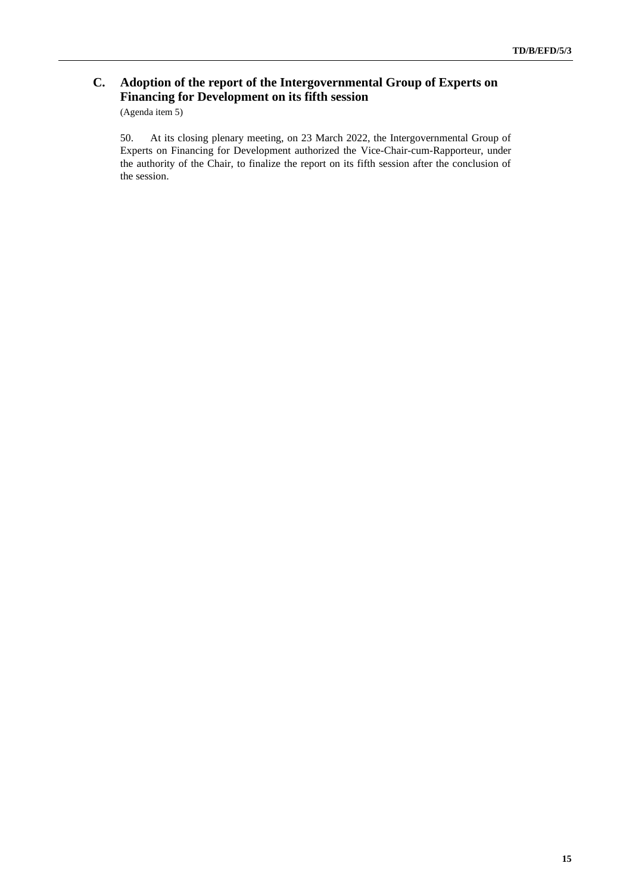# **C. Adoption of the report of the Intergovernmental Group of Experts on Financing for Development on its fifth session**

(Agenda item 5)

50. At its closing plenary meeting, on 23 March 2022, the Intergovernmental Group of Experts on Financing for Development authorized the Vice-Chair-cum-Rapporteur, under the authority of the Chair, to finalize the report on its fifth session after the conclusion of the session.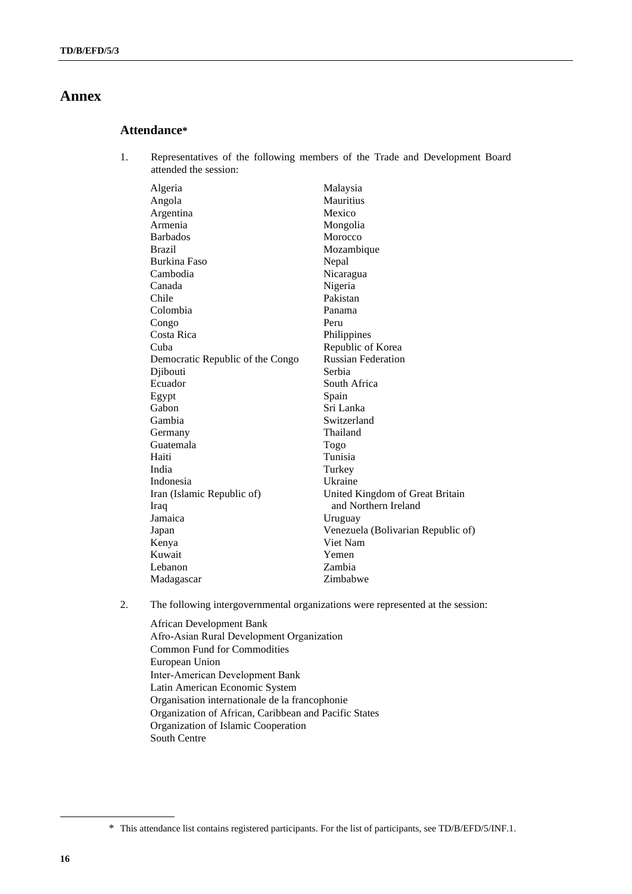# **Annex**

## **Attendance\***

1. Representatives of the following members of the Trade and Development Board attended the session:

| Algeria                          | Malaysia                           |
|----------------------------------|------------------------------------|
| Angola                           | <b>Mauritius</b>                   |
| Argentina                        | Mexico                             |
| Armenia                          | Mongolia                           |
| <b>Barbados</b>                  | Morocco                            |
| <b>Brazil</b>                    | Mozambique                         |
| Burkina Faso                     | Nepal                              |
| Cambodia                         | Nicaragua                          |
| Canada                           | Nigeria                            |
| Chile                            | Pakistan                           |
| Colombia                         | Panama                             |
| Congo                            | Peru                               |
| Costa Rica                       | Philippines                        |
| Cuba                             | Republic of Korea                  |
| Democratic Republic of the Congo | <b>Russian Federation</b>          |
| Djibouti                         | Serbia                             |
| Ecuador                          | South Africa                       |
| Egypt                            | Spain                              |
| Gabon                            | Sri Lanka                          |
| Gambia                           | Switzerland                        |
| Germany                          | Thailand                           |
| Guatemala                        | Togo                               |
| Haiti                            | Tunisia                            |
| India                            | Turkey                             |
| Indonesia                        | Ukraine                            |
| Iran (Islamic Republic of)       | United Kingdom of Great Britain    |
| Iraq                             | and Northern Ireland               |
| Jamaica                          | Uruguay                            |
| Japan                            | Venezuela (Bolivarian Republic of) |
| Kenya                            | Viet Nam                           |
| Kuwait                           | Yemen                              |
| Lebanon                          | Zambia                             |
| Madagascar                       | Zimbabwe                           |

- 2. The following intergovernmental organizations were represented at the session:
	- African Development Bank Afro‑Asian Rural Development Organization Common Fund for Commodities European Union Inter‑American Development Bank Latin American Economic System Organisation internationale de la francophonie Organization of African, Caribbean and Pacific States Organization of Islamic Cooperation South Centre

<sup>\*</sup> This attendance list contains registered participants. For the list of participants, see TD/B/EFD/5/INF.1.